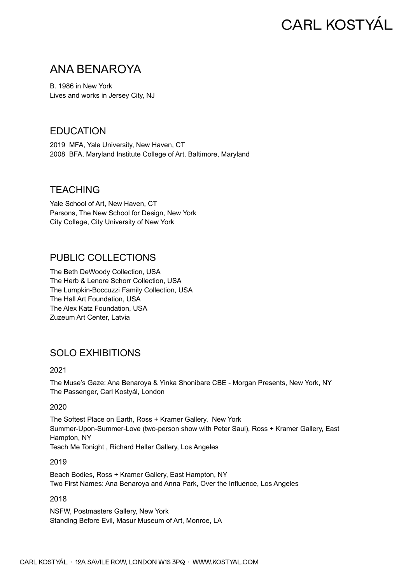# **CARL KOSTYÁL**

## ANA BENAROYA

B. 1986 in New York Lives and works in Jersey City, NJ

## **FDUCATION**

2019 MFA, Yale University, New Haven, CT 2008 BFA, Maryland Institute College of Art, Baltimore, Maryland

## **TFACHING**

Yale School of Art, New Haven, CT Parsons, The New School for Design, New York City College, City University of New York

## PUBLIC COLLECTIONS

The Beth DeWoody Collection, USA The Herb & Lenore Schorr Collection, USA The Lumpkin-Boccuzzi Family Collection, USA The Hall Art Foundation, USA The Alex Katz Foundation, USA Zuzeum Art Center, Latvia

## SOLO EXHIBITIONS

2021

The Muse's Gaze: Ana Benaroya & Yinka Shonibare CBE - Morgan Presents, New York, NY The Passenger, Carl Kostyál, London

#### 2020

The Softest Place on Earth, Ross + Kramer Gallery, New York Summer-Upon-Summer-Love (two-person show with Peter Saul), Ross + Kramer Gallery, East Hampton, NY Teach Me Tonight , Richard Heller Gallery, Los Angeles

2019

Beach Bodies, Ross + Kramer Gallery, East Hampton, NY Two First Names: Ana Benaroya and Anna Park, Over the Influence, Los Angeles

2018

NSFW, Postmasters Gallery, New York Standing Before Evil, Masur Museum of Art, Monroe, LA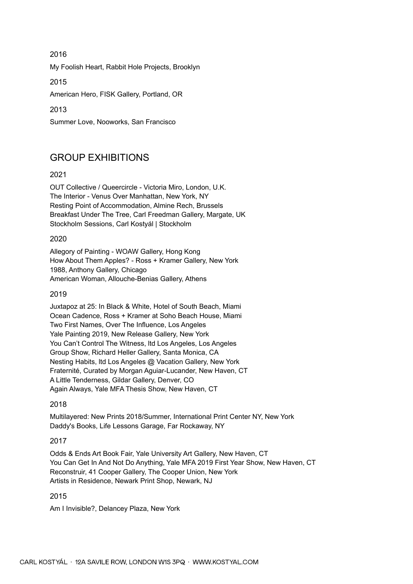2016 My Foolish Heart, Rabbit Hole Projects, Brooklyn

2015

American Hero, FISK Gallery, Portland, OR

2013

Summer Love, Nooworks, San Francisco

## GROUP EXHIBITIONS

#### 2021

OUT Collective / Queercircle - Victoria Miro, London, U.K. The Interior - Venus Over Manhattan, New York, NY Resting Point of Accommodation, Almine Rech, Brussels Breakfast Under The Tree, Carl Freedman Gallery, Margate, UK Stockholm Sessions, Carl Kostyál | Stockholm

#### 2020

Allegory of Painting - WOAW Gallery, Hong Kong How About Them Apples? - Ross + Kramer Gallery, New York 1988, Anthony Gallery, Chicago American Woman, Allouche-Benias Gallery, Athens

#### 2019

Juxtapoz at 25: In Black & White, Hotel of South Beach, Miami Ocean Cadence, Ross + Kramer at Soho Beach House, Miami Two First Names, Over The Influence, Los Angeles Yale Painting 2019, New Release Gallery, New York You Can't Control The Witness, ltd Los Angeles, Los Angeles Group Show, Richard Heller Gallery, Santa Monica, CA Nesting Habits, ltd Los Angeles @ Vacation Gallery, New York Fraternité, Curated by Morgan Aguiar-Lucander, New Haven, CT A Little Tenderness, Gildar Gallery, Denver, CO Again Always, Yale MFA Thesis Show, New Haven, CT

2018

Multilayered: New Prints 2018/Summer, International Print Center NY, New York Daddy's Books, Life Lessons Garage, Far Rockaway, NY

#### 2017

Odds & Ends Art Book Fair, Yale University Art Gallery, New Haven, CT You Can Get In And Not Do Anything, Yale MFA 2019 First Year Show, New Haven, CT Reconstruir, 41 Cooper Gallery, The Cooper Union, New York Artists in Residence, Newark Print Shop, Newark, NJ

#### 2015

Am I Invisible?, Delancey Plaza, New York